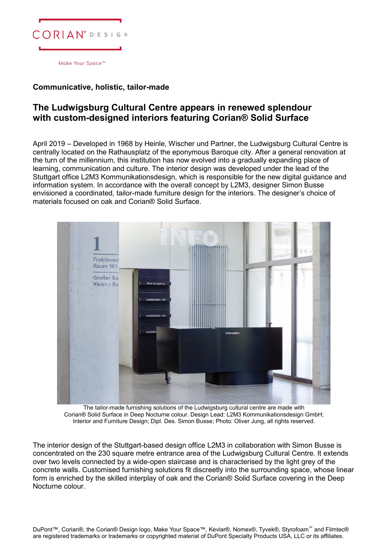

## **Communicative, holistic, tailor-made**

## **The Ludwigsburg Cultural Centre appears in renewed splendour with custom-designed interiors featuring Corian® Solid Surface**

April 2019 – Developed in 1968 by Heinle, Wischer und Partner, the Ludwigsburg Cultural Centre is centrally located on the Rathausplatz of the eponymous Baroque city. After a general renovation at the turn of the millennium, this institution has now evolved into a gradually expanding place of learning, communication and culture. The interior design was developed under the lead of the Stuttgart office L2M3 Kommunikationsdesign, which is responsible for the new digital guidance and information system. In accordance with the overall concept by L2M3, designer Simon Busse envisioned a coordinated, tailor-made furniture design for the interiors. The designer's choice of materials focused on oak and Corian® Solid Surface.



The tailor-made furnishing solutions of the Ludwigsburg cultural centre are made with Corian® Solid Surface in Deep Nocturne colour. Design Lead: L2M3 Kommunikationsdesign GmbH; Interior and Furniture Design; Dipl. Des. Simon Busse; Photo: Oliver Jung, all rights reserved.

The interior design of the Stuttgart-based design office L2M3 in collaboration with Simon Busse is concentrated on the 230 square metre entrance area of the Ludwigsburg Cultural Centre. It extends over two levels connected by a wide-open staircase and is characterised by the light grey of the concrete walls. Customised furnishing solutions fit discreetly into the surrounding space, whose linear form is enriched by the skilled interplay of oak and the Corian® Solid Surface covering in the Deep Nocturne colour.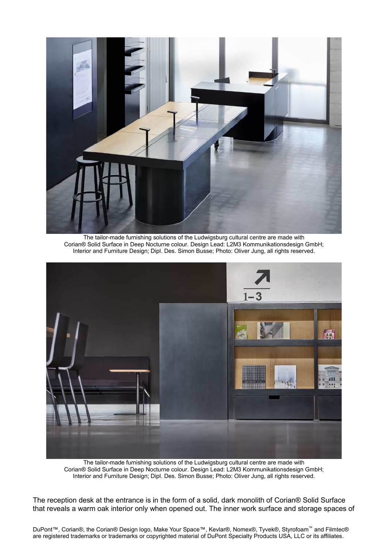

The tailor-made furnishing solutions of the Ludwigsburg cultural centre are made with Corian® Solid Surface in Deep Nocturne colour. Design Lead: L2M3 Kommunikationsdesign GmbH; Interior and Furniture Design; Dipl. Des. Simon Busse; Photo: Oliver Jung, all rights reserved.



The tailor-made furnishing solutions of the Ludwigsburg cultural centre are made with Corian® Solid Surface in Deep Nocturne colour. Design Lead: L2M3 Kommunikationsdesign GmbH; Interior and Furniture Design; Dipl. Des. Simon Busse; Photo: Oliver Jung, all rights reserved.

The reception desk at the entrance is in the form of a solid, dark monolith of Corian® Solid Surface that reveals a warm oak interior only when opened out. The inner work surface and storage spaces of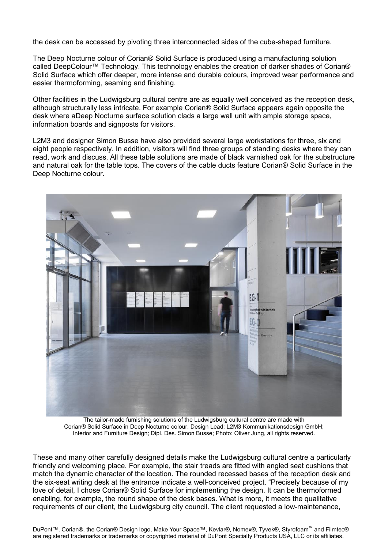the desk can be accessed by pivoting three interconnected sides of the cube-shaped furniture.

The Deep Nocturne colour of Corian® Solid Surface is produced using a manufacturing solution called DeepColour™ Technology. This technology enables the creation of darker shades of Corian® Solid Surface which offer deeper, more intense and durable colours, improved wear performance and easier thermoforming, seaming and finishing.

Other facilities in the Ludwigsburg cultural centre are as equally well conceived as the reception desk, although structurally less intricate. For example Corian® Solid Surface appears again opposite the desk where aDeep Nocturne surface solution clads a large wall unit with ample storage space, information boards and signposts for visitors.

L2M3 and designer Simon Busse have also provided several large workstations for three, six and eight people respectively. In addition, visitors will find three groups of standing desks where they can read, work and discuss. All these table solutions are made of black varnished oak for the substructure and natural oak for the table tops. The covers of the cable ducts feature Corian® Solid Surface in the Deep Nocturne colour.



The tailor-made furnishing solutions of the Ludwigsburg cultural centre are made with Corian® Solid Surface in Deep Nocturne colour. Design Lead: L2M3 Kommunikationsdesign GmbH; Interior and Furniture Design; Dipl. Des. Simon Busse; Photo: Oliver Jung, all rights reserved.

These and many other carefully designed details make the Ludwigsburg cultural centre a particularly friendly and welcoming place. For example, the stair treads are fitted with angled seat cushions that match the dynamic character of the location. The rounded recessed bases of the reception desk and the six-seat writing desk at the entrance indicate a well-conceived project. "Precisely because of my love of detail, I chose Corian® Solid Surface for implementing the design. It can be thermoformed enabling, for example, the round shape of the desk bases. What is more, it meets the qualitative requirements of our client, the Ludwigsburg city council. The client requested a low-maintenance,